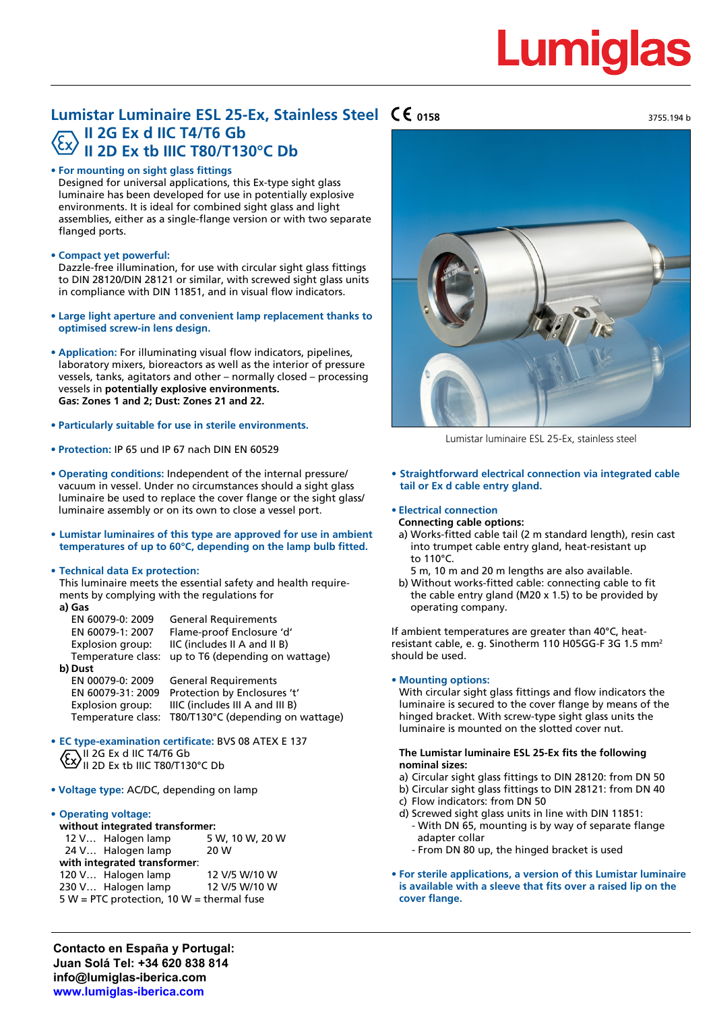# Lumid

**0158** 3755.194 b

# **Lumistar Luminaire ESL 25-Ex, Stainless Steel II 2G Ex d IIC T4/T6 Gb II 2D Ex tb IIIC T80/T130°C Db**

### **• For mounting on sight glass fittings**

Designed for universal applications, this Ex-type sight glass luminaire has been developed for use in potentially explosive environments. It is ideal for combined sight glass and light assemblies, either as a single-flange version or with two separate flanged ports.

## **• Compact yet powerful:**

Dazzle-free illumination, for use with circular sight glass fittings to DIN 28120/DIN 28121 or similar, with screwed sight glass units in compliance with DIN 11851, and in visual flow indicators.

- **• Large light aperture and convenient lamp replacement thanks to optimised screw-in lens design.**
- **• Application:** For illuminating visual flow indicators, pipelines, laboratory mixers, bioreactors as well as the interior of pressure vessels, tanks, agitators and other – normally closed – processing vessels in **potentially explosive environments. Gas: Zones 1 and 2; Dust: Zones 21 and 22.**
- **• Particularly suitable for use in sterile environments.**
- **• Protection:** IP 65 und IP 67 nach DIN EN 60529
- **• Operating conditions:** Independent of the internal pressure/ vacuum in vessel. Under no circumstances should a sight glass luminaire be used to replace the cover flange or the sight glass/ luminaire assembly or on its own to close a vessel port.
- **• Lumistar luminaires of this type are approved for use in ambient temperatures of up to 60°C, depending on the lamp bulb fitted.**

### **• Technical data Ex protection:**

This luminaire meets the essential safety and health requirements by complying with the regulations for **a) Gas**

| a, uas             |                                   |
|--------------------|-----------------------------------|
| EN 60079-0: 2009   | <b>General Requirements</b>       |
| EN 60079-1: 2007   | Flame-proof Enclosure 'd'         |
| Explosion group:   | IIC (includes II A and II B)      |
| Temperature class: | up to T6 (depending on wattage)   |
| b) Dust            |                                   |
| EN 00079-0: 2009   | <b>General Requirements</b>       |
| EN 60079-31: 2009  | Protection by Enclosures 't'      |
| Explosion group:   | IIIC (includes III A and III B)   |
| Temperature class: | T80/T130°C (depending on wattage) |
|                    |                                   |
|                    |                                   |

- **• EC type-examination certificate:** BVS 08 ATEX E 137 II 2G Ex d IIC T4/T6 Gb II 2D Ex tb IIIC T80/T130°C Db
- **• Voltage type:** AC/DC, depending on lamp

#### **• Operating voltage:**

| without integrated transformer:             |                    |                 |  |  |  |  |  |  |
|---------------------------------------------|--------------------|-----------------|--|--|--|--|--|--|
|                                             | 12 V Halogen lamp  | 5 W, 10 W, 20 W |  |  |  |  |  |  |
|                                             | 24 V Halogen lamp  | 20 W            |  |  |  |  |  |  |
| with integrated transformer:                |                    |                 |  |  |  |  |  |  |
|                                             | 120 V Halogen lamp | 12 V/5 W/10 W   |  |  |  |  |  |  |
|                                             | 230 V Halogen lamp | 12 V/5 W/10 W   |  |  |  |  |  |  |
| $5 W = PTC$ protection, 10 W = thermal fuse |                    |                 |  |  |  |  |  |  |
|                                             |                    |                 |  |  |  |  |  |  |

Lumistar luminaire ESL 25-Ex, stainless steel

### **• Straightforward electrical connection via integrated cable tail or Ex d cable entry gland.**

# **• Electrical connection**

- **Connecting cable options:**
	- a) Works-fitted cable tail (2 m standard length), resin cast into trumpet cable entry gland, heat-resistant up to 110°C.
	- 5 m, 10 m and 20 m lengths are also available.
	- b) Without works-fitted cable: connecting cable to fit the cable entry gland (M20 x 1.5) to be provided by operating company.

If ambient temperatures are greater than 40°C, heatresistant cable, e. g. Sinotherm 110 H05GG-F 3G 1.5 mm2 should be used.

#### **• Mounting options:**

With circular sight glass fittings and flow indicators the luminaire is secured to the cover flange by means of the hinged bracket. With screw-type sight glass units the luminaire is mounted on the slotted cover nut.

#### **The Lumistar luminaire ESL 25-Ex fits the following nominal sizes:**

- a) Circular sight glass fittings to DIN 28120: from DN 50
- b) Circular sight glass fittings to DIN 28121: from DN 40
- c) Flow indicators: from DN 50
- d) Screwed sight glass units in line with DIN 11851:
	- With DN 65, mounting is by way of separate flange adapter collar
	- From DN 80 up, the hinged bracket is used
- **• For sterile applications, a version of this Lumistar luminaire is available with a sleeve that fits over a raised lip on the cover flange.**